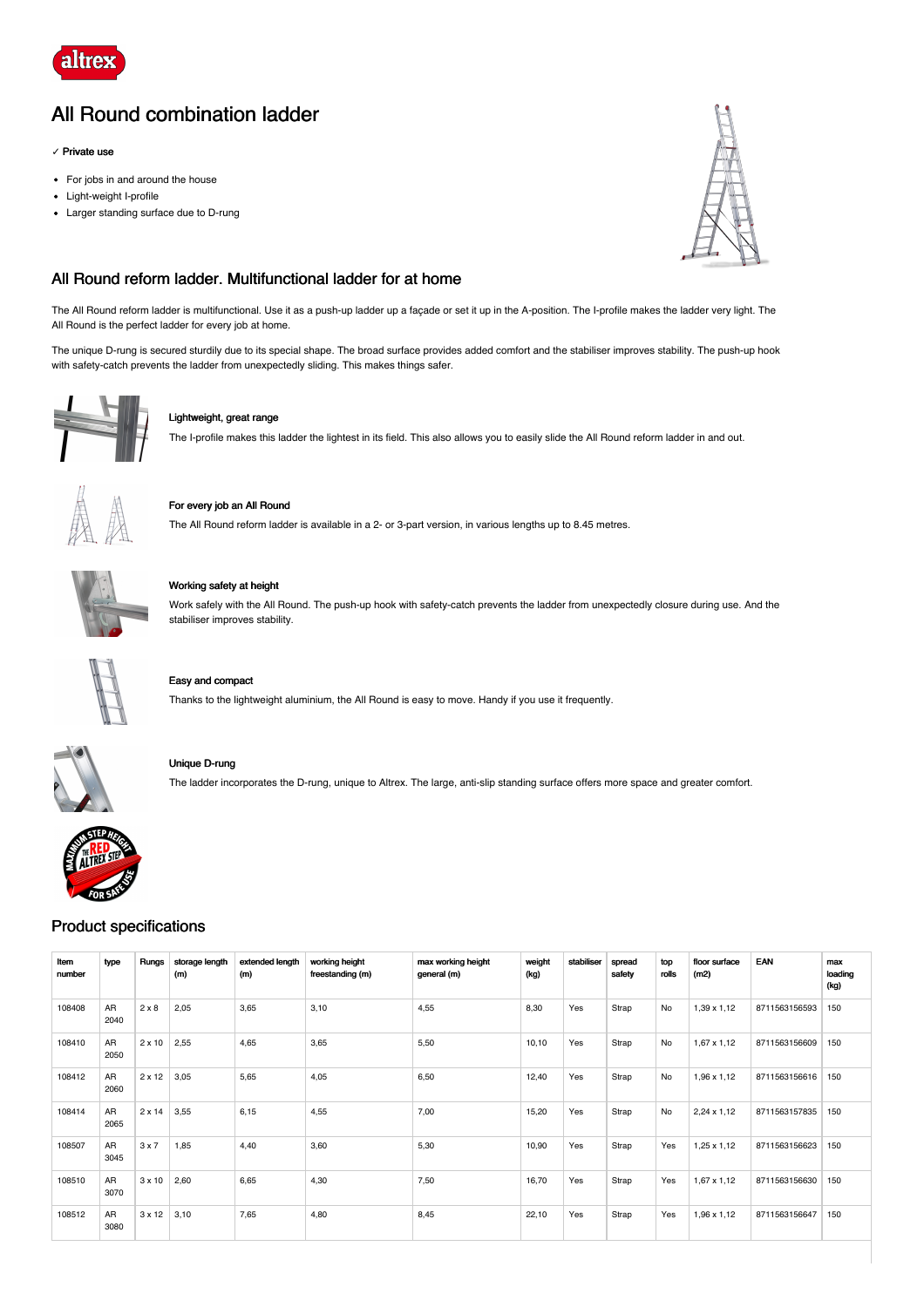

# All Round combination ladder

### **✓** Private use

- For jobs in and around the house
- Light-weight I-profile
- Larger standing surface due to D-rung



# All Round reform ladder. Multifunctional ladder for at home

The All Round reform ladder is multifunctional. Use it as a push-up ladder up a façade or set it up in the A-position. The I-profile makes the ladder very light. The All Round is the perfect ladder for every job at home.

The unique D-rung is secured sturdily due to its special shape. The broad surface provides added comfort and the stabiliser improves stability. The push-up hook with safety-catch prevents the ladder from unexpectedly sliding. This makes things safer.



### Lightweight, great range

The I-profile makes this ladder the lightest in its field. This also allows you to easily slide the All Round reform ladder in and out.



# For every job an All Round

The All Round reform ladder is available in a 2- or 3-part version, in various lengths up to 8.45 metres.



# Working safety at height

Work safely with the All Round. The push-up hook with safety-catch prevents the ladder from unexpectedly closure during use. And the stabiliser improves stability.



# Easy and compact

Thanks to the lightweight aluminium, the All Round is easy to move. Handy if you use it frequently.



# Unique D-rung

The ladder incorporates the D-rung, unique to Altrex. The large, anti-slip standing surface offers more space and greater comfort.

# Product specifications

| Item<br>number | type       | Rungs         | storage length<br>(m) | extended length<br>(m) | working height<br>freestanding (m) | max working height<br>general (m) | weight<br>(kg) | stabiliser | spread<br>safety | top<br>rolls | floor surface<br>(m2) | EAN           | max<br>loading<br>(kg) |
|----------------|------------|---------------|-----------------------|------------------------|------------------------------------|-----------------------------------|----------------|------------|------------------|--------------|-----------------------|---------------|------------------------|
| 108408         | AR<br>2040 | $2 \times 8$  | 2,05                  | 3,65                   | 3,10                               | 4,55                              | 8,30           | Yes        | Strap            | <b>No</b>    | 1,39 x 1,12           | 8711563156593 | 150                    |
| 108410         | AR<br>2050 | $2 \times 10$ | 2,55                  | 4,65                   | 3,65                               | 5,50                              | 10,10          | Yes        | Strap            | No           | $1,67 \times 1,12$    | 8711563156609 | 150                    |
| 108412         | AR<br>2060 | 2 x 12        | 3,05                  | 5,65                   | 4,05                               | 6,50                              | 12,40          | Yes        | Strap            | No           | 1,96 x 1,12           | 8711563156616 | 150                    |
| 108414         | AR<br>2065 | 2 x 14        | 3,55                  | 6,15                   | 4,55                               | 7,00                              | 15,20          | Yes        | Strap            | No           | $2,24 \times 1,12$    | 8711563157835 | 150                    |
| 108507         | AR<br>3045 | 3x7           | 1,85                  | 4,40                   | 3,60                               | 5,30                              | 10,90          | Yes        | Strap            | Yes          | $1,25 \times 1,12$    | 8711563156623 | 150                    |
| 108510         | AR<br>3070 | $3 \times 10$ | 2,60                  | 6,65                   | 4,30                               | 7,50                              | 16,70          | Yes        | Strap            | Yes          | $1,67 \times 1,12$    | 8711563156630 | 150                    |
| 108512         | AR<br>3080 | 3 x 12        | 3,10                  | 7,65                   | 4,80                               | 8,45                              | 22,10          | Yes        | Strap            | Yes          | 1,96 x 1,12           | 8711563156647 | 150                    |